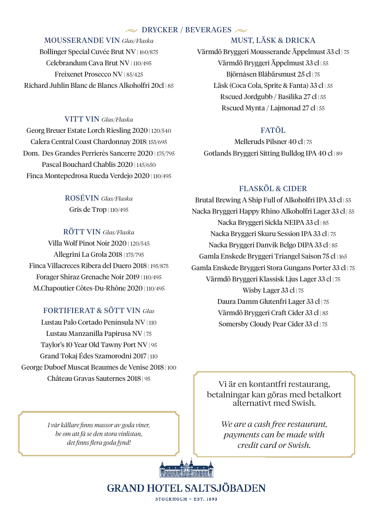### $\sim$  DRYCKER / BEVERAGES  $\sim$

### MOUSSERANDE VIN *Glas/Flaska*

Bollinger Special Cuvée Brut NV | 160/875 Celebrandum Cava Brut NV | 110/495 Freixenet Prosecco NV | 85/425 Richard Juhlin Blanc de Blancs Alkoholfri 20cl | 85

### VITT VIN *Glas/Flaska*

Georg Breuer Estate Lorch Riesling 2020 | 120/540 Calera Central Coast Chardonnay 2018| 155/695 Dom. Des Grandes Perrierès Sancerre 2020 | 175/795 Pascal Bouchard Chablis 2020 | 145/650 Finca Montepedrosa Rueda Verdejo 2020 | 110/495

> ROSÉVIN *Glas/Flaska* Gris de Trop | 110/495

## RÖTT VIN *Glas/Flaska* Villa Wolf Pinot Noir 2020 | 120/545 Allegrini La Grola 2018 | 175/795 Finca Villacreces Ribera del Duero 2018 | 195/875 Forager Shiraz Grenache Noir 2019 | 110/495 M.Chapoutier Côtes-Du-Rhône 2020 | 110/495

## FORTIFIERAT & SÖTT VIN *Glas*

Lustau Palo Cortado Península NV | 110 Lustau Manzanilla Papirusa NV | 75 Taylor's 10 Year Old Tawny Port NV | 95 Grand Tokaj Édes Szamorodni 2017 | 110 George Duboef Muscat Beaumes de Venise 2018 | 100 Château Gravas Sauternes 2018 | 95

> *I vår källare finns massor av goda viner, be om att få se den stora vinlistan, det finns flera goda fynd!*

## MUST, LÄSK & DRICKA

Värmdö Bryggeri Mousserande Äppelmust 33 cl | 75 Värmdö Bryggeri Äppelmust 33 cl | 55 Björnåsen Blåbärsmust 25 cl | 75 Läsk (Coca Cola, Sprite & Fanta) 33 cl | 35 Rscued Jordgubb / Basilika 27 cl | 55 Rscued Mynta / Lajmonad 27 cl | 55

## FATÖL

Melleruds Pilsner 40 cl | 75 Gotlands Bryggeri Sitting Bulldog IPA 40 cl | 89

## FLASKÖL & CIDER

Brutal Brewing A Ship Full of Alkoholfri IPA 33 cl | 55 Nacka Bryggeri Happy Rhino Alkoholfri Lager 33 cl | 55 Nacka Bryggeri Sickla NEIPA 33 cl | 85 Nacka Bryggeri Skuru Session IPA 33 cl | 75 Nacka Bryggeri Danvik Belgo DIPA 33 cl | 85 Gamla Enskede Bryggeri Triangel Saison 75 cl | 165 Gamla Enskede Bryggeri Stora Gungans Porter 33 cl | 75 Värmdö Bryggeri Klassisk Ljus Lager 33 cl | 75 Wisby Lager 33 cl | 75 Daura Damm Glutenfri Lager 33 cl | 75 Värmdö Bryggeri Craft Cider 33 cl | 85 Somersby Cloudy Pear Cider 33 cl | 75

Vi är en kontantfri restaurang, betalningar kan göras med betalkort alternativt med Swish.

> *We are a cash free restaurant, payments can be made with credit card or Swish.*



**GRAND HOTEL SALTSJÖBADEN** STOCKHOLM - EST, 1893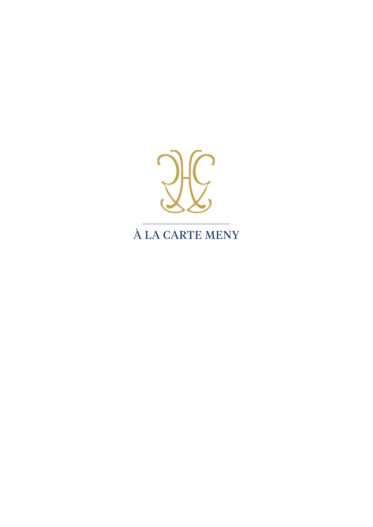

# À LA CARTE MENY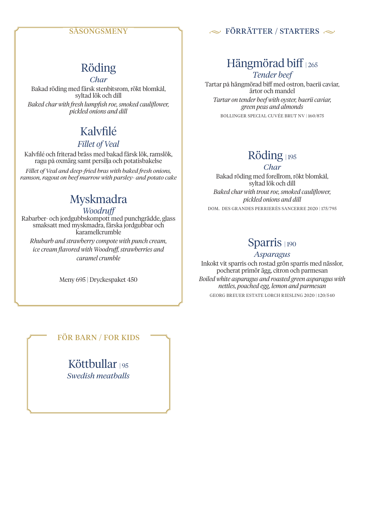### SÄSONGSMENY

### $\sim$  FÖRRÄTTER / STARTERS  $\sim$

## Röding

*Char* Bakad röding med färsk stenbitsrom, rökt blomkål, syltad lök och dill *Baked char with fresh lumpfish roe, smoked cauliflower, pickled onions and dill*

# Kalvfilé

### *Fillet of Veal*

Kalvfilé och friterad bräss med bakad färsk lök, ramslök, ragu på oxmärg samt persilja och potatisbakelse

*Fillet of Veal and deep-fried bras with baked fresh onions, ramson, ragout on beef marrow with parsley- and potato cake*

## Myskmadra

### *Woodruff*

Rabarber- och jordgubbskompott med punchgrädde, glass smaksatt med myskmadra, färska jordgubbar och karamellcrumble *Rhubarb and strawberry compote with punch cream, ice cream flavored with Woodruff, strawberries and caramel crumble*

Meny 695 | Dryckespaket 450

# Hängmörad biff | 265

*Tender beef* Tartar på hängmörad biff med ostron, baerii caviar, ärtor och mandel *Tartar on tender beef with oyster, baerii caviar, green peas and almonds*

BOLLINGER SPECIAL CUVÉE BRUT NV | 160/875

## Röding | 195

*Char* Bakad röding med forellrom, rökt blomkål, syltad lök och dill *Baked char with trout roe, smoked cauliflower, pickled onions and dill*

DOM. DES GRANDES PERRIERÈS SANCERRE 2020 | 175/795

## Sparris | 190

#### *Asparagus*

Inkokt vit sparris och rostad grön sparris med nässlor, pocherat primör ägg, citron och parmesan

*Boiled white asparagus and roasted green asparagus with nettles, poached egg, lemon and parmesan*

GEORG BREUER ESTATE LORCH RIESLING 2020 | 120/540

### FÖR BARN / FOR KIDS

Köttbullar 195 *Swedish meatballs*